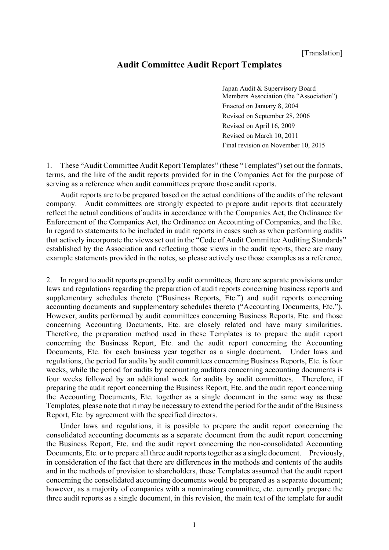# **Audit Committee Audit Report Templates**

Japan Audit & Supervisory Board Members Association (the "Association") Enacted on January 8, 2004 Revised on September 28, 2006 Revised on April 16, 2009 Revised on March 10, 2011 Final revision on November 10, 2015

1. These "Audit Committee Audit Report Templates" (these "Templates") set out the formats, terms, and the like of the audit reports provided for in the Companies Act for the purpose of serving as a reference when audit committees prepare those audit reports.

Audit reports are to be prepared based on the actual conditions of the audits of the relevant company. Audit committees are strongly expected to prepare audit reports that accurately reflect the actual conditions of audits in accordance with the Companies Act, the Ordinance for Enforcement of the Companies Act, the Ordinance on Accounting of Companies, and the like. In regard to statements to be included in audit reports in cases such as when performing audits that actively incorporate the views set out in the "Code of Audit Committee Auditing Standards" established by the Association and reflecting those views in the audit reports, there are many example statements provided in the notes, so please actively use those examples as a reference.

2. In regard to audit reports prepared by audit committees, there are separate provisions under laws and regulations regarding the preparation of audit reports concerning business reports and supplementary schedules thereto ("Business Reports, Etc.") and audit reports concerning accounting documents and supplementary schedules thereto ("Accounting Documents, Etc."). However, audits performed by audit committees concerning Business Reports, Etc. and those concerning Accounting Documents, Etc. are closely related and have many similarities. Therefore, the preparation method used in these Templates is to prepare the audit report concerning the Business Report, Etc. and the audit report concerning the Accounting Documents, Etc. for each business year together as a single document. Under laws and regulations, the period for audits by audit committees concerning Business Reports, Etc. is four weeks, while the period for audits by accounting auditors concerning accounting documents is four weeks followed by an additional week for audits by audit committees. Therefore, if preparing the audit report concerning the Business Report, Etc. and the audit report concerning the Accounting Documents, Etc. together as a single document in the same way as these Templates, please note that it may be necessary to extend the period for the audit of the Business Report, Etc. by agreement with the specified directors.

Under laws and regulations, it is possible to prepare the audit report concerning the consolidated accounting documents as a separate document from the audit report concerning the Business Report, Etc. and the audit report concerning the non-consolidated Accounting Documents, Etc. or to prepare all three audit reports together as a single document. Previously, in consideration of the fact that there are differences in the methods and contents of the audits and in the methods of provision to shareholders, these Templates assumed that the audit report concerning the consolidated accounting documents would be prepared as a separate document; however, as a majority of companies with a nominating committee, etc. currently prepare the three audit reports as a single document, in this revision, the main text of the template for audit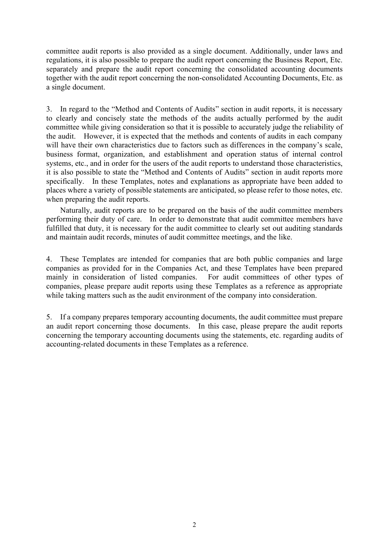committee audit reports is also provided as a single document. Additionally, under laws and regulations, it is also possible to prepare the audit report concerning the Business Report, Etc. separately and prepare the audit report concerning the consolidated accounting documents together with the audit report concerning the non-consolidated Accounting Documents, Etc. as a single document.

3. In regard to the "Method and Contents of Audits" section in audit reports, it is necessary to clearly and concisely state the methods of the audits actually performed by the audit committee while giving consideration so that it is possible to accurately judge the reliability of the audit. However, it is expected that the methods and contents of audits in each company will have their own characteristics due to factors such as differences in the company's scale, business format, organization, and establishment and operation status of internal control systems, etc., and in order for the users of the audit reports to understand those characteristics, it is also possible to state the "Method and Contents of Audits" section in audit reports more specifically. In these Templates, notes and explanations as appropriate have been added to places where a variety of possible statements are anticipated, so please refer to those notes, etc. when preparing the audit reports.

Naturally, audit reports are to be prepared on the basis of the audit committee members performing their duty of care. In order to demonstrate that audit committee members have fulfilled that duty, it is necessary for the audit committee to clearly set out auditing standards and maintain audit records, minutes of audit committee meetings, and the like.

4. These Templates are intended for companies that are both public companies and large companies as provided for in the Companies Act, and these Templates have been prepared mainly in consideration of listed companies. For audit committees of other types of companies, please prepare audit reports using these Templates as a reference as appropriate while taking matters such as the audit environment of the company into consideration.

5. If a company prepares temporary accounting documents, the audit committee must prepare an audit report concerning those documents. In this case, please prepare the audit reports concerning the temporary accounting documents using the statements, etc. regarding audits of accounting-related documents in these Templates as a reference.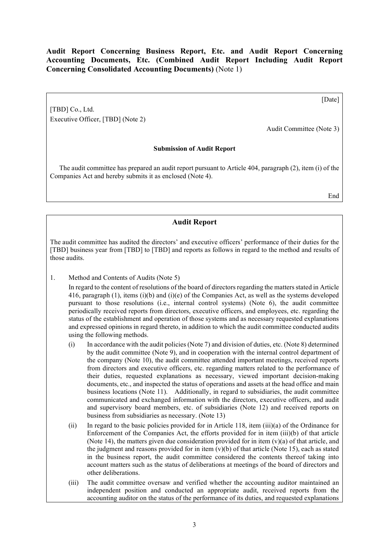**Audit Report Concerning Business Report, Etc. and Audit Report Concerning Accounting Documents, Etc. (Combined Audit Report Including Audit Report Concerning Consolidated Accounting Documents)** (Note 1)

[TBD] Co., Ltd. Executive Officer, [TBD] (Note 2) [Date]

Audit Committee (Note 3)

#### **Submission of Audit Report**

The audit committee has prepared an audit report pursuant to Article 404, paragraph (2), item (i) of the Companies Act and hereby submits it as enclosed (Note 4).

End

## **Audit Report**

The audit committee has audited the directors' and executive officers' performance of their duties for the [TBD] business year from [TBD] to [TBD] and reports as follows in regard to the method and results of those audits.

1. Method and Contents of Audits (Note 5)

In regard to the content of resolutions of the board of directors regarding the matters stated in Article 416, paragraph (1), items (i)(b) and (i)(e) of the Companies Act, as well as the systems developed pursuant to those resolutions (i.e., internal control systems) (Note 6), the audit committee periodically received reports from directors, executive officers, and employees, etc. regarding the status of the establishment and operation of those systems and as necessary requested explanations and expressed opinions in regard thereto, in addition to which the audit committee conducted audits using the following methods.

- (i) In accordance with the audit policies (Note 7) and division of duties, etc. (Note 8) determined by the audit committee (Note 9), and in cooperation with the internal control department of the company (Note 10), the audit committee attended important meetings, received reports from directors and executive officers, etc. regarding matters related to the performance of their duties, requested explanations as necessary, viewed important decision-making documents, etc., and inspected the status of operations and assets at the head office and main business locations (Note 11). Additionally, in regard to subsidiaries, the audit committee communicated and exchanged information with the directors, executive officers, and audit and supervisory board members, etc. of subsidiaries (Note 12) and received reports on business from subsidiaries as necessary. (Note 13)
- (ii) In regard to the basic policies provided for in Article 118, item (iii)(a) of the Ordinance for Enforcement of the Companies Act, the efforts provided for in item (iii)(b) of that article (Note 14), the matters given due consideration provided for in item  $(v)(a)$  of that article, and the judgment and reasons provided for in item  $(v)(b)$  of that article (Note 15), each as stated in the business report, the audit committee considered the contents thereof taking into account matters such as the status of deliberations at meetings of the board of directors and other deliberations.
- (iii) The audit committee oversaw and verified whether the accounting auditor maintained an independent position and conducted an appropriate audit, received reports from the accounting auditor on the status of the performance of its duties, and requested explanations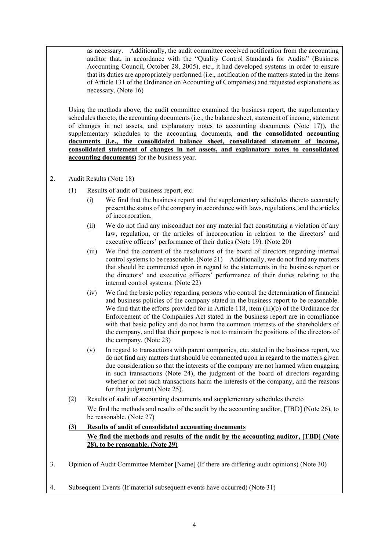as necessary. Additionally, the audit committee received notification from the accounting auditor that, in accordance with the "Quality Control Standards for Audits" (Business Accounting Council, October 28, 2005), etc., it had developed systems in order to ensure that its duties are appropriately performed (i.e., notification of the matters stated in the items of Article 131 of the Ordinance on Accounting of Companies) and requested explanations as necessary. (Note 16)

Using the methods above, the audit committee examined the business report, the supplementary schedules thereto, the accounting documents (i.e., the balance sheet, statement of income, statement of changes in net assets, and explanatory notes to accounting documents (Note 17)), the supplementary schedules to the accounting documents, **and the consolidated accounting documents (i.e., the consolidated balance sheet, consolidated statement of income, consolidated statement of changes in net assets, and explanatory notes to consolidated accounting documents)** for the business year.

- 2. Audit Results (Note 18)
	- (1) Results of audit of business report, etc.
		- (i) We find that the business report and the supplementary schedules thereto accurately present the status of the company in accordance with laws, regulations, and the articles of incorporation.
		- (ii) We do not find any misconduct nor any material fact constituting a violation of any law, regulation, or the articles of incorporation in relation to the directors' and executive officers' performance of their duties (Note 19). (Note 20)
		- (iii) We find the content of the resolutions of the board of directors regarding internal control systems to be reasonable. (Note 21) Additionally, we do not find any matters that should be commented upon in regard to the statements in the business report or the directors' and executive officers' performance of their duties relating to the internal control systems. (Note 22)
		- (iv) We find the basic policy regarding persons who control the determination of financial and business policies of the company stated in the business report to be reasonable. We find that the efforts provided for in Article 118, item (iii)(b) of the Ordinance for Enforcement of the Companies Act stated in the business report are in compliance with that basic policy and do not harm the common interests of the shareholders of the company, and that their purpose is not to maintain the positions of the directors of the company. (Note 23)
		- (v) In regard to transactions with parent companies, etc. stated in the business report, we do not find any matters that should be commented upon in regard to the matters given due consideration so that the interests of the company are not harmed when engaging in such transactions (Note 24), the judgment of the board of directors regarding whether or not such transactions harm the interests of the company, and the reasons for that judgment (Note 25).
	- (2) Results of audit of accounting documents and supplementary schedules thereto We find the methods and results of the audit by the accounting auditor, [TBD] (Note 26), to be reasonable. (Note 27)

## **(3) Results of audit of consolidated accounting documents**

## **We find the methods and results of the audit by the accounting auditor, [TBD] (Note 28), to be reasonable. (Note 29)**

- 3. Opinion of Audit Committee Member [Name] (If there are differing audit opinions) (Note 30)
- 4. Subsequent Events (If material subsequent events have occurred) (Note 31)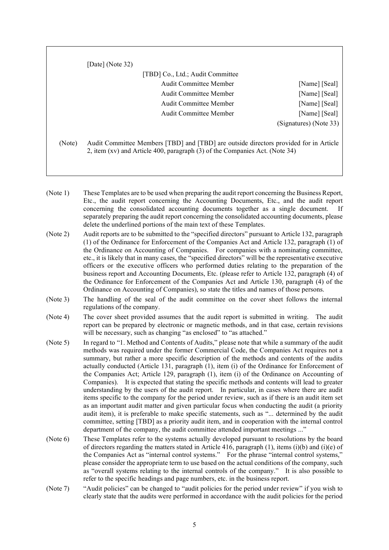|        | [Date] (Note 32)                                                                                                                                                     |                        |
|--------|----------------------------------------------------------------------------------------------------------------------------------------------------------------------|------------------------|
|        | [TBD] Co., Ltd.; Audit Committee                                                                                                                                     |                        |
|        | Audit Committee Member                                                                                                                                               | [Name] [Seal]          |
|        | Audit Committee Member                                                                                                                                               | [Name] [Seal]          |
|        | Audit Committee Member                                                                                                                                               | [Name] [Seal]          |
|        | Audit Committee Member                                                                                                                                               | [Name] [Seal]          |
|        |                                                                                                                                                                      | (Signatures) (Note 33) |
| (Note) | Audit Committee Members [TBD] and [TBD] are outside directors provided for in Article<br>2, item (xv) and Article 400, paragraph (3) of the Companies Act. (Note 34) |                        |

- (Note 1) These Templates are to be used when preparing the audit report concerning the Business Report, Etc., the audit report concerning the Accounting Documents, Etc., and the audit report concerning the consolidated accounting documents together as a single document. If separately preparing the audit report concerning the consolidated accounting documents, please delete the underlined portions of the main text of these Templates.
- (Note 2) Audit reports are to be submitted to the "specified directors" pursuant to Article 132, paragraph (1) of the Ordinance for Enforcement of the Companies Act and Article 132, paragraph (1) of the Ordinance on Accounting of Companies. For companies with a nominating committee, etc., it is likely that in many cases, the "specified directors" will be the representative executive officers or the executive officers who performed duties relating to the preparation of the business report and Accounting Documents, Etc. (please refer to Article 132, paragraph (4) of the Ordinance for Enforcement of the Companies Act and Article 130, paragraph (4) of the Ordinance on Accounting of Companies), so state the titles and names of those persons.
- (Note 3) The handling of the seal of the audit committee on the cover sheet follows the internal regulations of the company.
- (Note 4) The cover sheet provided assumes that the audit report is submitted in writing. The audit report can be prepared by electronic or magnetic methods, and in that case, certain revisions will be necessary, such as changing "as enclosed" to "as attached."
- (Note 5) In regard to "1. Method and Contents of Audits," please note that while a summary of the audit methods was required under the former Commercial Code, the Companies Act requires not a summary, but rather a more specific description of the methods and contents of the audits actually conducted (Article 131, paragraph (1), item (i) of the Ordinance for Enforcement of the Companies Act; Article 129, paragraph (1), item (i) of the Ordinance on Accounting of Companies). It is expected that stating the specific methods and contents will lead to greater understanding by the users of the audit report. In particular, in cases where there are audit items specific to the company for the period under review, such as if there is an audit item set as an important audit matter and given particular focus when conducting the audit (a priority audit item), it is preferable to make specific statements, such as "... determined by the audit committee, setting [TBD] as a priority audit item, and in cooperation with the internal control department of the company, the audit committee attended important meetings ..."
- (Note 6) These Templates refer to the systems actually developed pursuant to resolutions by the board of directors regarding the matters stated in Article 416, paragraph (1), items (i)(b) and (i)(e) of the Companies Act as "internal control systems." For the phrase "internal control systems," please consider the appropriate term to use based on the actual conditions of the company, such as "overall systems relating to the internal controls of the company." It is also possible to refer to the specific headings and page numbers, etc. in the business report.
- (Note 7) "Audit policies" can be changed to "audit policies for the period under review" if you wish to clearly state that the audits were performed in accordance with the audit policies for the period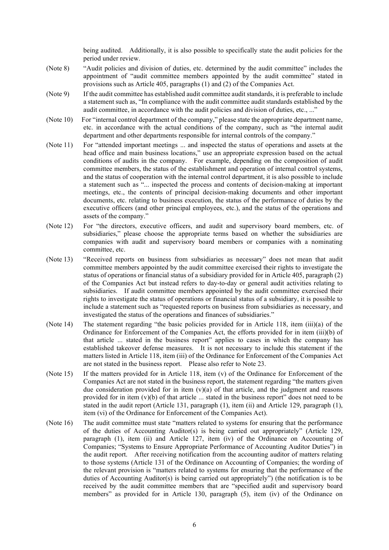being audited. Additionally, it is also possible to specifically state the audit policies for the period under review.

- (Note 8) "Audit policies and division of duties, etc. determined by the audit committee" includes the appointment of "audit committee members appointed by the audit committee" stated in provisions such as Article 405, paragraphs (1) and (2) of the Companies Act.
- (Note 9) If the audit committee has established audit committee audit standards, it is preferable to include a statement such as, "In compliance with the audit committee audit standards established by the audit committee, in accordance with the audit policies and division of duties, etc., ..."
- (Note 10) For "internal control department of the company," please state the appropriate department name, etc. in accordance with the actual conditions of the company, such as "the internal audit department and other departments responsible for internal controls of the company."
- (Note 11) For "attended important meetings ... and inspected the status of operations and assets at the head office and main business locations," use an appropriate expression based on the actual conditions of audits in the company. For example, depending on the composition of audit committee members, the status of the establishment and operation of internal control systems, and the status of cooperation with the internal control department, it is also possible to include a statement such as "... inspected the process and contents of decision-making at important meetings, etc., the contents of principal decision-making documents and other important documents, etc. relating to business execution, the status of the performance of duties by the executive officers (and other principal employees, etc.), and the status of the operations and assets of the company."
- (Note 12) For "the directors, executive officers, and audit and supervisory board members, etc. of subsidiaries," please choose the appropriate terms based on whether the subsidiaries are companies with audit and supervisory board members or companies with a nominating committee, etc.
- (Note 13) "Received reports on business from subsidiaries as necessary" does not mean that audit committee members appointed by the audit committee exercised their rights to investigate the status of operations or financial status of a subsidiary provided for in Article 405, paragraph (2) of the Companies Act but instead refers to day-to-day or general audit activities relating to subsidiaries. If audit committee members appointed by the audit committee exercised their rights to investigate the status of operations or financial status of a subsidiary, it is possible to include a statement such as "requested reports on business from subsidiaries as necessary, and investigated the status of the operations and finances of subsidiaries."
- (Note 14) The statement regarding "the basic policies provided for in Article 118, item (iii)(a) of the Ordinance for Enforcement of the Companies Act, the efforts provided for in item (iii)(b) of that article ... stated in the business report" applies to cases in which the company has established takeover defense measures. It is not necessary to include this statement if the matters listed in Article 118, item (iii) of the Ordinance for Enforcement of the Companies Act are not stated in the business report. Please also refer to Note 23.
- (Note 15) If the matters provided for in Article 118, item (v) of the Ordinance for Enforcement of the Companies Act are not stated in the business report, the statement regarding "the matters given due consideration provided for in item (v)(a) of that article, and the judgment and reasons provided for in item  $(v)(b)$  of that article ... stated in the business report" does not need to be stated in the audit report (Article 131, paragraph (1), item (ii) and Article 129, paragraph (1), item (vi) of the Ordinance for Enforcement of the Companies Act).
- (Note 16) The audit committee must state "matters related to systems for ensuring that the performance of the duties of Accounting Auditor(s) is being carried out appropriately" (Article 129, paragraph (1), item (ii) and Article 127, item (iv) of the Ordinance on Accounting of Companies; "Systems to Ensure Appropriate Performance of Accounting Auditor Duties") in the audit report. After receiving notification from the accounting auditor of matters relating to those systems (Article 131 of the Ordinance on Accounting of Companies; the wording of the relevant provision is "matters related to systems for ensuring that the performance of the duties of Accounting Auditor(s) is being carried out appropriately") (the notification is to be received by the audit committee members that are "specified audit and supervisory board members" as provided for in Article 130, paragraph (5), item (iv) of the Ordinance on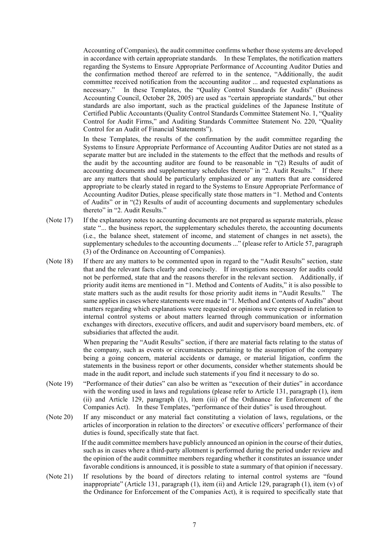Accounting of Companies), the audit committee confirms whether those systems are developed in accordance with certain appropriate standards. In these Templates, the notification matters regarding the Systems to Ensure Appropriate Performance of Accounting Auditor Duties and the confirmation method thereof are referred to in the sentence, "Additionally, the audit committee received notification from the accounting auditor ... and requested explanations as necessary." In these Templates, the "Quality Control Standards for Audits" (Business Accounting Council, October 28, 2005) are used as "certain appropriate standards," but other standards are also important, such as the practical guidelines of the Japanese Institute of Certified Public Accountants (Quality Control Standards Committee Statement No. 1, "Quality Control for Audit Firms," and Auditing Standards Committee Statement No. 220, "Quality Control for an Audit of Financial Statements").

In these Templates, the results of the confirmation by the audit committee regarding the Systems to Ensure Appropriate Performance of Accounting Auditor Duties are not stated as a separate matter but are included in the statements to the effect that the methods and results of the audit by the accounting auditor are found to be reasonable in "(2) Results of audit of accounting documents and supplementary schedules thereto" in "2. Audit Results." If there are any matters that should be particularly emphasized or any matters that are considered appropriate to be clearly stated in regard to the Systems to Ensure Appropriate Performance of Accounting Auditor Duties, please specifically state those matters in "1. Method and Contents of Audits" or in "(2) Results of audit of accounting documents and supplementary schedules thereto" in "2. Audit Results."

- (Note 17) If the explanatory notes to accounting documents are not prepared as separate materials, please state "... the business report, the supplementary schedules thereto, the accounting documents (i.e., the balance sheet, statement of income, and statement of changes in net assets), the supplementary schedules to the accounting documents ..." (please refer to Article 57, paragraph (3) of the Ordinance on Accounting of Companies).
- (Note 18) If there are any matters to be commented upon in regard to the "Audit Results" section, state that and the relevant facts clearly and concisely. If investigations necessary for audits could not be performed, state that and the reasons therefor in the relevant section. Additionally, if priority audit items are mentioned in "1. Method and Contents of Audits," it is also possible to state matters such as the audit results for those priority audit items in "Audit Results." The same applies in cases where statements were made in "1. Method and Contents of Audits" about matters regarding which explanations were requested or opinions were expressed in relation to internal control systems or about matters learned through communication or information exchanges with directors, executive officers, and audit and supervisory board members, etc. of subsidiaries that affected the audit.

When preparing the "Audit Results" section, if there are material facts relating to the status of the company, such as events or circumstances pertaining to the assumption of the company being a going concern, material accidents or damage, or material litigation, confirm the statements in the business report or other documents, consider whether statements should be made in the audit report, and include such statements if you find it necessary to do so.

- (Note 19) "Performance of their duties" can also be written as "execution of their duties" in accordance with the wording used in laws and regulations (please refer to Article 131, paragraph (1), item (ii) and Article 129, paragraph (1), item (iii) of the Ordinance for Enforcement of the Companies Act). In these Templates, "performance of their duties" is used throughout.
- (Note 20) If any misconduct or any material fact constituting a violation of laws, regulations, or the articles of incorporation in relation to the directors' or executive officers' performance of their duties is found, specifically state that fact.

If the audit committee members have publicly announced an opinion in the course of their duties, such as in cases where a third-party allotment is performed during the period under review and the opinion of the audit committee members regarding whether it constitutes an issuance under favorable conditions is announced, it is possible to state a summary of that opinion if necessary.

(Note 21) If resolutions by the board of directors relating to internal control systems are "found inappropriate" (Article 131, paragraph (1), item (ii) and Article 129, paragraph (1), item (v) of the Ordinance for Enforcement of the Companies Act), it is required to specifically state that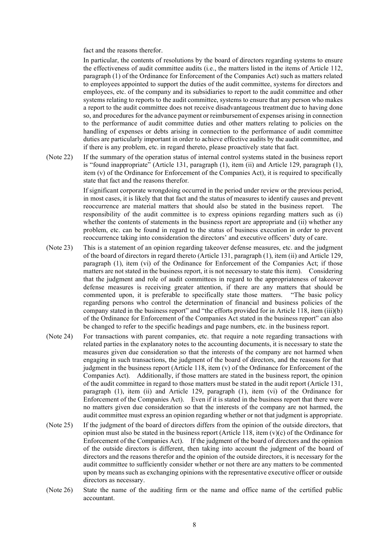fact and the reasons therefor.

In particular, the contents of resolutions by the board of directors regarding systems to ensure the effectiveness of audit committee audits (i.e., the matters listed in the items of Article 112, paragraph (1) of the Ordinance for Enforcement of the Companies Act) such as matters related to employees appointed to support the duties of the audit committee, systems for directors and employees, etc. of the company and its subsidiaries to report to the audit committee and other systems relating to reports to the audit committee, systems to ensure that any person who makes a report to the audit committee does not receive disadvantageous treatment due to having done so, and procedures for the advance payment or reimbursement of expenses arising in connection to the performance of audit committee duties and other matters relating to policies on the handling of expenses or debts arising in connection to the performance of audit committee duties are particularly important in order to achieve effective audits by the audit committee, and if there is any problem, etc. in regard thereto, please proactively state that fact.

(Note 22) If the summary of the operation status of internal control systems stated in the business report is "found inappropriate" (Article 131, paragraph (1), item (ii) and Article 129, paragraph (1), item (v) of the Ordinance for Enforcement of the Companies Act), it is required to specifically state that fact and the reasons therefor.

> If significant corporate wrongdoing occurred in the period under review or the previous period, in most cases, it is likely that that fact and the status of measures to identify causes and prevent reoccurrence are material matters that should also be stated in the business report. The responsibility of the audit committee is to express opinions regarding matters such as (i) whether the contents of statements in the business report are appropriate and (ii) whether any problem, etc. can be found in regard to the status of business execution in order to prevent reoccurrence taking into consideration the directors' and executive officers' duty of care.

- (Note 23) This is a statement of an opinion regarding takeover defense measures, etc. and the judgment of the board of directors in regard thereto (Article 131, paragraph (1), item (ii) and Article 129, paragraph (1), item (vi) of the Ordinance for Enforcement of the Companies Act; if those matters are not stated in the business report, it is not necessary to state this item). Considering that the judgment and role of audit committees in regard to the appropriateness of takeover defense measures is receiving greater attention, if there are any matters that should be commented upon, it is preferable to specifically state those matters. "The basic policy regarding persons who control the determination of financial and business policies of the company stated in the business report" and "the efforts provided for in Article 118, item (iii)(b) of the Ordinance for Enforcement of the Companies Act stated in the business report" can also be changed to refer to the specific headings and page numbers, etc. in the business report.
- (Note 24) For transactions with parent companies, etc. that require a note regarding transactions with related parties in the explanatory notes to the accounting documents, it is necessary to state the measures given due consideration so that the interests of the company are not harmed when engaging in such transactions, the judgment of the board of directors, and the reasons for that judgment in the business report (Article 118, item (v) of the Ordinance for Enforcement of the Companies Act). Additionally, if those matters are stated in the business report, the opinion of the audit committee in regard to those matters must be stated in the audit report (Article 131, paragraph (1), item (ii) and Article 129, paragraph (1), item (vi) of the Ordinance for Enforcement of the Companies Act). Even if it is stated in the business report that there were no matters given due consideration so that the interests of the company are not harmed, the audit committee must express an opinion regarding whether or not that judgment is appropriate.
- (Note 25) If the judgment of the board of directors differs from the opinion of the outside directors, that opinion must also be stated in the business report (Article 118, item (v)(c) of the Ordinance for Enforcement of the Companies Act). If the judgment of the board of directors and the opinion of the outside directors is different, then taking into account the judgment of the board of directors and the reasons therefor and the opinion of the outside directors, it is necessary for the audit committee to sufficiently consider whether or not there are any matters to be commented upon by meanssuch as exchanging opinions with the representative executive officer or outside directors as necessary.
- (Note 26) State the name of the auditing firm or the name and office name of the certified public accountant.